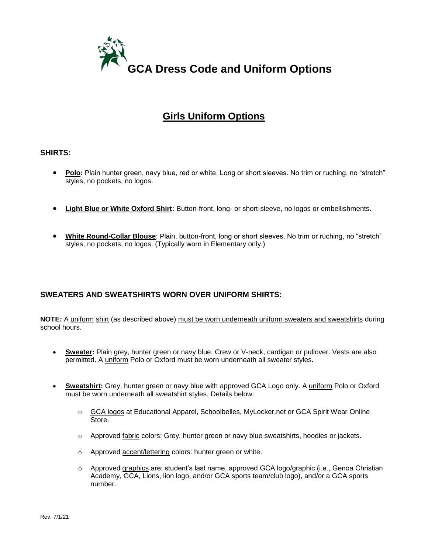

# **Girls Uniform Options**

#### **SHIRTS:**

- **Polo:** Plain hunter green, navy blue, red or white. Long or short sleeves. No trim or ruching, no "stretch" styles, no pockets, no logos.
- **Light Blue or White Oxford Shirt:** Button-front, long- or short-sleeve, no logos or embellishments.
- **White Round-Collar Blouse**: Plain, button-front, long or short sleeves. No trim or ruching, no "stretch" styles, no pockets, no logos. (Typically worn in Elementary only.)

# **SWEATERS AND SWEATSHIRTS WORN OVER UNIFORM SHIRTS:**

**NOTE:** A uniform shirt (as described above) must be worn underneath uniform sweaters and sweatshirts during school hours.

- **Sweater:** Plain grey, hunter green or navy blue. Crew or V-neck, cardigan or pullover. Vests are also permitted. A uniform Polo or Oxford must be worn underneath all sweater styles.
- **Sweatshirt:** Grey, hunter green or navy blue with approved GCA Logo only. A uniform Polo or Oxford must be worn underneath all sweatshirt styles. Details below:
	- o GCA logos at Educational Apparel, Schoolbelles, MyLocker.net or GCA Spirit Wear Online Store.
	- o Approved fabric colors: Grey, hunter green or navy blue sweatshirts, hoodies or jackets.
	- o Approved accent/lettering colors: hunter green or white.
	- $\circ$  Approved graphics are: student's last name, approved GCA logo/graphic (i.e., Genoa Christian Academy, GCA, Lions, lion logo, and/or GCA sports team/club logo), and/or a GCA sports number.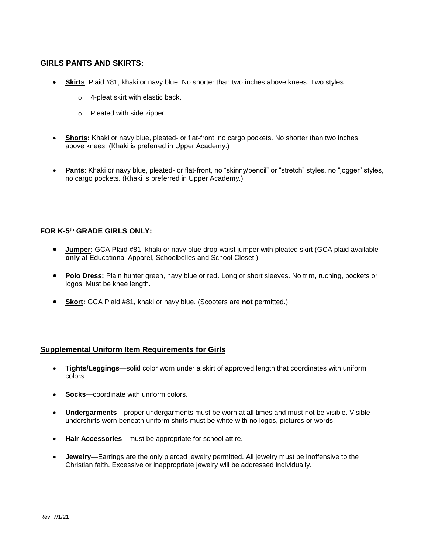## **GIRLS PANTS AND SKIRTS:**

- **Skirts**: Plaid #81, khaki or navy blue. No shorter than two inches above knees. Two styles:
	- o 4-pleat skirt with elastic back.
	- o Pleated with side zipper.
- **Shorts:** Khaki or navy blue, pleated- or flat-front, no cargo pockets. No shorter than two inches above knees. (Khaki is preferred in Upper Academy.)
- **Pants**: Khaki or navy blue, pleated- or flat-front, no "skinny/pencil" or "stretch" styles, no "jogger" styles, no cargo pockets. (Khaki is preferred in Upper Academy.)

## **FOR K-5 th GRADE GIRLS ONLY:**

- **Jumper:** GCA Plaid #81, khaki or navy blue drop-waist jumper with pleated skirt (GCA plaid available **only** at Educational Apparel, Schoolbelles and School Closet.)
- **Polo Dress:** Plain hunter green, navy blue or red. Long or short sleeves. No trim, ruching, pockets or logos. Must be knee length.
- **Skort:** GCA Plaid #81, khaki or navy blue. (Scooters are **not** permitted.)

## **Supplemental Uniform Item Requirements for Girls**

- **Tights/Leggings**—solid color worn under a skirt of approved length that coordinates with uniform colors.
- **Socks**—coordinate with uniform colors.
- **Undergarments**—proper undergarments must be worn at all times and must not be visible. Visible undershirts worn beneath uniform shirts must be white with no logos, pictures or words.
- **Hair Accessories**—must be appropriate for school attire.
- **Jewelry**—Earrings are the only pierced jewelry permitted. All jewelry must be inoffensive to the Christian faith. Excessive or inappropriate jewelry will be addressed individually.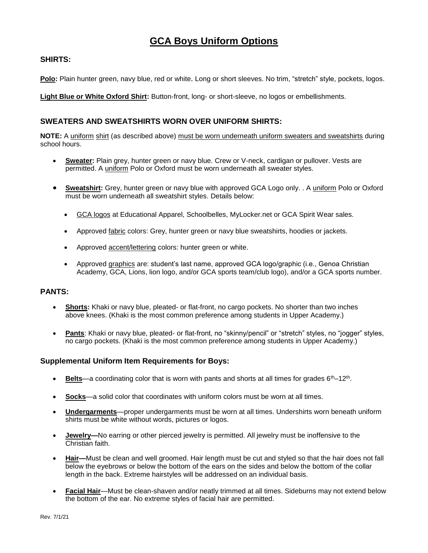# **GCA Boys Uniform Options**

# **SHIRTS:**

**Polo:** Plain hunter green, navy blue, red or white. Long or short sleeves. No trim, "stretch" style, pockets, logos.

**Light Blue or White Oxford Shirt:** Button-front, long- or short-sleeve, no logos or embellishments.

# **SWEATERS AND SWEATSHIRTS WORN OVER UNIFORM SHIRTS:**

**NOTE:** A uniform shirt (as described above) must be worn underneath uniform sweaters and sweatshirts during school hours.

- **Sweater:** Plain grey, hunter green or navy blue. Crew or V-neck, cardigan or pullover. Vests are permitted. A uniform Polo or Oxford must be worn underneath all sweater styles.
- **Sweatshirt:** Grey, hunter green or navy blue with approved GCA Logo only. . A uniform Polo or Oxford must be worn underneath all sweatshirt styles. Details below:
	- GCA logos at Educational Apparel, Schoolbelles, MyLocker.net or GCA Spirit Wear sales.
	- Approved fabric colors: Grey, hunter green or navy blue sweatshirts, hoodies or jackets.
	- Approved accent/lettering colors: hunter green or white.
	- Approved graphics are: student's last name, approved GCA logo/graphic (i.e., Genoa Christian Academy, GCA, Lions, lion logo, and/or GCA sports team/club logo), and/or a GCA sports number.

## **PANTS:**

- **Shorts:** Khaki or navy blue, pleated- or flat-front, no cargo pockets. No shorter than two inches above knees. (Khaki is the most common preference among students in Upper Academy.)
- **Pants**: Khaki or navy blue, pleated- or flat-front, no "skinny/pencil" or "stretch" styles, no "jogger" styles, no cargo pockets. (Khaki is the most common preference among students in Upper Academy.)

## **Supplemental Uniform Item Requirements for Boys:**

- **Belts**—a coordinating color that is worn with pants and shorts at all times for grades 6<sup>th</sup>–12<sup>th</sup>.
- **Socks**—a solid color that coordinates with uniform colors must be worn at all times.
- **Undergarments**—proper undergarments must be worn at all times. Undershirts worn beneath uniform shirts must be white without words, pictures or logos.
- **Jewelry—**No earring or other pierced jewelry is permitted. All jewelry must be inoffensive to the Christian faith.
- **Hair—**Must be clean and well groomed. Hair length must be cut and styled so that the hair does not fall below the eyebrows or below the bottom of the ears on the sides and below the bottom of the collar length in the back. Extreme hairstyles will be addressed on an individual basis.
- **Facial Hair**—Must be clean-shaven and/or neatly trimmed at all times. Sideburns may not extend below the bottom of the ear. No extreme styles of facial hair are permitted.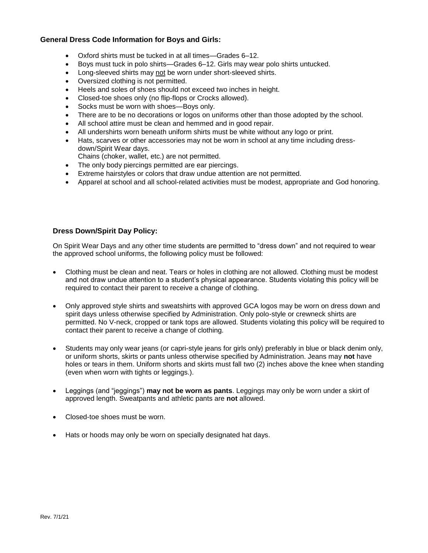#### **General Dress Code Information for Boys and Girls:**

- Oxford shirts must be tucked in at all times—Grades 6–12.
- Boys must tuck in polo shirts—Grades 6–12. Girls may wear polo shirts untucked.
- Long-sleeved shirts may not be worn under short-sleeved shirts.
- Oversized clothing is not permitted.
- Heels and soles of shoes should not exceed two inches in height.
- Closed-toe shoes only (no flip-flops or Crocks allowed).
- Socks must be worn with shoes-Boys only.
- There are to be no decorations or logos on uniforms other than those adopted by the school.
- All school attire must be clean and hemmed and in good repair.
- All undershirts worn beneath uniform shirts must be white without any logo or print.
- Hats, scarves or other accessories may not be worn in school at any time including dressdown/Spirit Wear days.
- Chains (choker, wallet, etc.) are not permitted.
- The only body piercings permitted are ear piercings.
- Extreme hairstyles or colors that draw undue attention are not permitted.
- Apparel at school and all school-related activities must be modest, appropriate and God honoring.

#### **Dress Down/Spirit Day Policy:**

On Spirit Wear Days and any other time students are permitted to "dress down" and not required to wear the approved school uniforms, the following policy must be followed:

- Clothing must be clean and neat. Tears or holes in clothing are not allowed. Clothing must be modest and not draw undue attention to a student's physical appearance. Students violating this policy will be required to contact their parent to receive a change of clothing.
- Only approved style shirts and sweatshirts with approved GCA logos may be worn on dress down and spirit days unless otherwise specified by Administration. Only polo-style or crewneck shirts are permitted. No V-neck, cropped or tank tops are allowed. Students violating this policy will be required to contact their parent to receive a change of clothing.
- Students may only wear jeans (or capri-style jeans for girls only) preferably in blue or black denim only, or uniform shorts, skirts or pants unless otherwise specified by Administration. Jeans may **not** have holes or tears in them. Uniform shorts and skirts must fall two (2) inches above the knee when standing (even when worn with tights or leggings.).
- Leggings (and "jeggings") **may not be worn as pants**. Leggings may only be worn under a skirt of approved length. Sweatpants and athletic pants are **not** allowed.
- Closed-toe shoes must be worn.
- Hats or hoods may only be worn on specially designated hat days.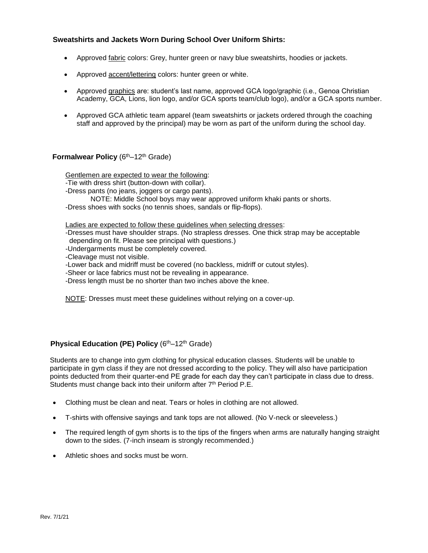#### **Sweatshirts and Jackets Worn During School Over Uniform Shirts:**

- Approved fabric colors: Grey, hunter green or navy blue sweatshirts, hoodies or jackets.
- Approved accent/lettering colors: hunter green or white.
- Approved graphics are: student's last name, approved GCA logo/graphic (i.e., Genoa Christian Academy, GCA, Lions, lion logo, and/or GCA sports team/club logo), and/or a GCA sports number.
- Approved GCA athletic team apparel (team sweatshirts or jackets ordered through the coaching staff and approved by the principal) may be worn as part of the uniform during the school day.

#### **Formalwear Policy** (6<sup>th</sup>–12<sup>th</sup> Grade)

Gentlemen are expected to wear the following:

- -Tie with dress shirt (button-down with collar).
- -Dress pants (no jeans, joggers or cargo pants).

NOTE: Middle School boys may wear approved uniform khaki pants or shorts. -Dress shoes with socks (no tennis shoes, sandals or flip-flops).

Ladies are expected to follow these guidelines when selecting dresses:

-Dresses must have shoulder straps. (No strapless dresses. One thick strap may be acceptable depending on fit. Please see principal with questions.)

- -Undergarments must be completely covered.
- -Cleavage must not visible.

-Lower back and midriff must be covered (no backless, midriff or cutout styles).

-Sheer or lace fabrics must not be revealing in appearance.

-Dress length must be no shorter than two inches above the knee.

NOTE: Dresses must meet these guidelines without relying on a cover-up.

## **Physical Education (PE) Policy (6th–12th Grade)**

 Students are to change into gym clothing for physical education classes. Students will be unable to participate in gym class if they are not dressed according to the policy. They will also have participation points deducted from their quarter-end PE grade for each day they can't participate in class due to dress. Students must change back into their uniform after 7<sup>th</sup> Period P.E.

- Clothing must be clean and neat. Tears or holes in clothing are not allowed.
- T-shirts with offensive sayings and tank tops are not allowed. (No V-neck or sleeveless.)
- The required length of gym shorts is to the tips of the fingers when arms are naturally hanging straight down to the sides. (7-inch inseam is strongly recommended.)
- Athletic shoes and socks must be worn.